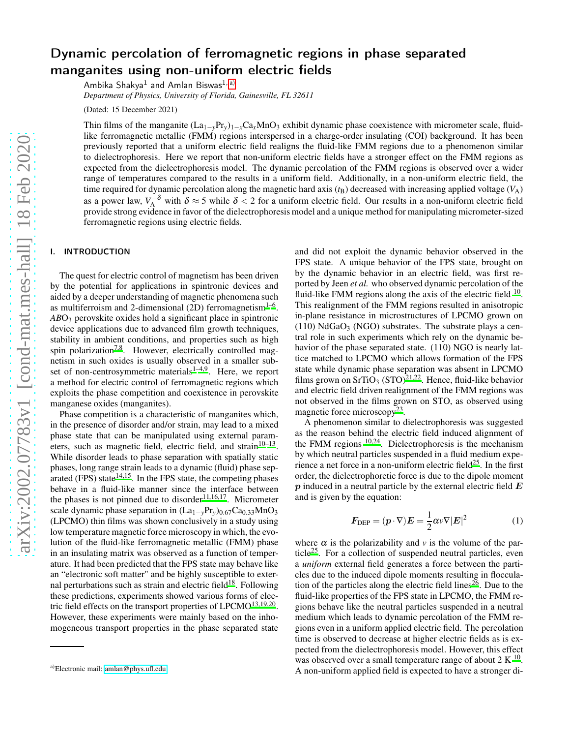# Dynamic percolation of ferromagnetic regions in phase separated manganites using non-uniform electric fields

Ambika Shakya $^1$  and Amlan Biswas $^{\rm 1,\;a)}$  $^{\rm 1,\;a)}$  $^{\rm 1,\;a)}$ 

*Department of Physics, University of Florida, Gainesville, FL 32611*

(Dated: 15 December 2021)

Thin films of the manganite  $(La_{1-y}Pr_y)_{1-x}Ca_xMnO_3$  exhibit dynamic phase coexistence with micrometer scale, fluidlike ferromagnetic metallic (FMM) regions interspersed in a charge-order insulating (COI) background. It has been previously reported that a uniform electric field realigns the fluid-like FMM regions due to a phenomenon similar to dielectrophoresis. Here we report that non-uniform electric fields have a stronger effect on the FMM regions as expected from the dielectrophoresis model. The dynamic percolation of the FMM regions is observed over a wider range of temperatures compared to the results in a uniform field. Additionally, in a non-uniform electric field, the time required for dynamic percolation along the magnetic hard axis  $(t)$  decreased with increasing applied voltage  $(V_A)$ as a power law,  $V_A^{-\delta}$  with  $\delta \approx 5$  while  $\delta < 2$  for a uniform electric field. Our results in a non-uniform electric field provide strong evidence in favor of the dielectrophoresis model and a unique method for manipulating micrometer-sized ferromagnetic regions using electric fields.

## I. INTRODUCTION

The quest for electric control of magnetism has been driven by the potential for applications in spintronic devices and aided by a deeper understanding of magnetic phenomena such as multiferroism and 2-dimensional (2D) ferromagnetism $1-6$  $1-6$ . ABO<sub>3</sub> perovskite oxides hold a significant place in spintronic device applications due to advanced film growth techniques, stability in ambient conditions, and properties such as high spin polarization<sup>[7](#page-5-2)[,8](#page-5-3)</sup>. However, electrically controlled magnetism in such oxides is usually observed in a smaller subset of non-centrosymmetric materials $1-4,9$  $1-4,9$  $1-4,9$ . Here, we report a method for electric control of ferromagnetic regions which exploits the phase competition and coexistence in perovskite manganese oxides (manganites).

Phase competition is a characteristic of manganites which, in the presence of disorder and/or strain, may lead to a mixed phase state that can be manipulated using external parameters, such as magnetic field, electric field, and strain $10-13$  $10-13$ . While disorder leads to phase separation with spatially static phases, long range strain leads to a dynamic (fluid) phase sep-arated (FPS) state<sup>[14](#page-5-8)[,15](#page-5-9)</sup>. In the FPS state, the competing phases behave in a fluid-like manner since the interface between the phases is not pinned due to disorder<sup>[11](#page-5-10)[,16](#page-5-11)[,17](#page-5-12)</sup>. Micrometer scale dynamic phase separation in  $(La_{1-y}Pr_y)_{0.67}Ca_{0.33}MnO_3$ (LPCMO) thin films was shown conclusively in a study using low temperature magnetic force microscopy in which, the evolution of the fluid-like ferromagnetic metallic (FMM) phase in an insulating matrix was observed as a function of temperature. It had been predicted that the FPS state may behave like an "electronic soft matter" and be highly susceptible to exter-nal perturbations such as strain and electric field<sup>[18](#page-5-13)</sup>. Following these predictions, experiments showed various forms of elec-tric field effects on the transport properties of LPCMO<sup>[13](#page-5-7)[,19](#page-5-14)[,20](#page-5-15)</sup>. However, these experiments were mainly based on the inhomogeneous transport properties in the phase separated state and did not exploit the dynamic behavior observed in the FPS state. A unique behavior of the FPS state, brought on by the dynamic behavior in an electric field, was first reported by Jeen *et al.* who observed dynamic percolation of the fluid-like FMM regions along the axis of the electric field  $10$ . This realignment of the FMM regions resulted in anisotropic in-plane resistance in microstructures of LPCMO grown on  $(110)$  NdGaO<sub>3</sub> (NGO) substrates. The substrate plays a central role in such experiments which rely on the dynamic behavior of the phase separated state. (110) NGO is nearly lattice matched to LPCMO which allows formation of the FPS state while dynamic phase separation was absent in LPCMO films grown on  $SrTiO<sub>3</sub> (STO)<sup>21,22</sup>$  $SrTiO<sub>3</sub> (STO)<sup>21,22</sup>$  $SrTiO<sub>3</sub> (STO)<sup>21,22</sup>$  $SrTiO<sub>3</sub> (STO)<sup>21,22</sup>$ . Hence, fluid-like behavior and electric field driven realignment of the FMM regions was not observed in the films grown on STO, as observed using magnetic force microscopy<sup>[23](#page-5-18)</sup>.

A phenomenon similar to dielectrophoresis was suggested as the reason behind the electric field induced alignment of the FMM regions  $10,24$  $10,24$ . Dielectrophoresis is the mechanism by which neutral particles suspended in a fluid medium expe-rience a net force in a non-uniform electric field<sup>[25](#page-5-20)</sup>. In the first order, the dielectrophoretic force is due to the dipole moment  $p$  induced in a neutral particle by the external electric field  $E$ and is given by the equation:

$$
\boldsymbol{F}_{\text{DEP}} = (\boldsymbol{p} \cdot \nabla) \boldsymbol{E} = \frac{1}{2} \boldsymbol{\alpha} \boldsymbol{\nu} \nabla |\boldsymbol{E}|^2 \tag{1}
$$

where  $\alpha$  is the polarizability and  $\nu$  is the volume of the par-ticle<sup>[25](#page-5-20)</sup>. For a collection of suspended neutral particles, even a *uniform* external field generates a force between the particles due to the induced dipole moments resulting in flocculation of the particles along the electric field lines<sup> $26$ </sup>. Due to the fluid-like properties of the FPS state in LPCMO, the FMM regions behave like the neutral particles suspended in a neutral medium which leads to dynamic percolation of the FMM regions even in a uniform applied electric field. The percolation time is observed to decrease at higher electric fields as is expected from the dielectrophoresis model. However, this effect was observed over a small temperature range of about 2 K  $^{10}$  $^{10}$  $^{10}$ . A non-uniform applied field is expected to have a stronger di-

<span id="page-0-0"></span>a)Electronic mail: [amlan@phys.ufl.edu](mailto:amlan@phys.ufl.edu)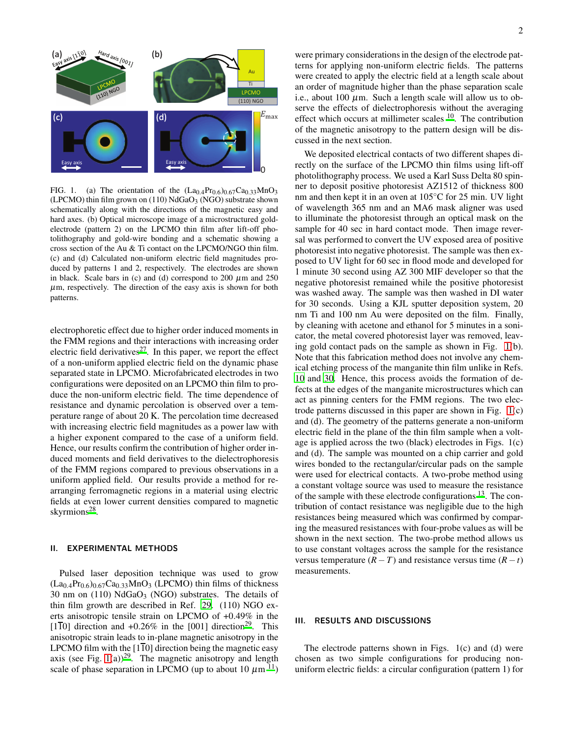

<span id="page-1-0"></span>FIG. 1. (a) The orientation of the  $(La<sub>0.4</sub>Pr<sub>0.6</sub>)<sub>0.67</sub>Ca<sub>0.33</sub>MnO<sub>3</sub>$ (LPCMO) thin film grown on  $(110)$  NdGaO<sub>3</sub> (NGO) substrate shown schematically along with the directions of the magnetic easy and hard axes. (b) Optical microscope image of a microstructured goldelectrode (pattern 2) on the LPCMO thin film after lift-off photolithography and gold-wire bonding and a schematic showing a cross section of the Au & Ti contact on the LPCMO/NGO thin film. (c) and (d) Calculated non-uniform electric field magnitudes produced by patterns 1 and 2, respectively. The electrodes are shown in black. Scale bars in (c) and (d) correspond to 200  $\mu$ m and 250  $\mu$ m, respectively. The direction of the easy axis is shown for both patterns.

electrophoretic effect due to higher order induced moments in the FMM regions and their interactions with increasing order electric field derivatives<sup>[27](#page-5-22)</sup>. In this paper, we report the effect of a non-uniform applied electric field on the dynamic phase separated state in LPCMO. Microfabricated electrodes in two configurations were deposited on an LPCMO thin film to produce the non-uniform electric field. The time dependence of resistance and dynamic percolation is observed over a temperature range of about 20 K. The percolation time decreased with increasing electric field magnitudes as a power law with a higher exponent compared to the case of a uniform field. Hence, our results confirm the contribution of higher order induced moments and field derivatives to the dielectrophoresis of the FMM regions compared to previous observations in a uniform applied field. Our results provide a method for rearranging ferromagnetic regions in a material using electric fields at even lower current densities compared to magnetic skyrmions<sup>[28](#page-5-23)</sup>.

## II. EXPERIMENTAL METHODS

Pulsed laser deposition technique was used to grow  $(La<sub>0.4</sub>Pr<sub>0.6</sub>)<sub>0.67</sub>Ca<sub>0.33</sub>MnO<sub>3</sub> (LPCMO)$  thin films of thickness 30 nm on  $(110)$  NdGaO<sub>3</sub> (NGO) substrates. The details of thin film growth are described in Ref. [29.](#page-5-24) (110) NGO exerts anisotropic tensile strain on LPCMO of +0.49% in the  $[1\overline{1}0]$  direction and +0.26% in the  $[001]$  direction<sup>[29](#page-5-24)</sup>. This anisotropic strain leads to in-plane magnetic anisotropy in the LPCMO film with the  $[1\overline{1}0]$  direction being the magnetic easy axis (see Fig.  $1(a)$ )<sup>[29](#page-5-24)</sup>. The magnetic anisotropy and length scale of phase separation in LPCMO (up to about 10  $\mu$ m <sup>[11](#page-5-10)</sup>)

were primary considerations in the design of the electrode patterns for applying non-uniform electric fields. The patterns were created to apply the electric field at a length scale about an order of magnitude higher than the phase separation scale i.e., about 100  $\mu$ m. Such a length scale will allow us to observe the effects of dielectrophoresis without the averaging effect which occurs at millimeter scales  $10$ . The contribution of the magnetic anisotropy to the pattern design will be discussed in the next section.

We deposited electrical contacts of two different shapes directly on the surface of the LPCMO thin films using lift-off photolithography process. We used a Karl Suss Delta 80 spinner to deposit positive photoresist AZ1512 of thickness 800 nm and then kept it in an oven at 105◦C for 25 min. UV light of wavelength 365 nm and an MA6 mask aligner was used to illuminate the photoresist through an optical mask on the sample for 40 sec in hard contact mode. Then image reversal was performed to convert the UV exposed area of positive photoresist into negative photoresist. The sample was then exposed to UV light for 60 sec in flood mode and developed for 1 minute 30 second using AZ 300 MIF developer so that the negative photoresist remained while the positive photoresist was washed away. The sample was then washed in DI water for 30 seconds. Using a KJL sputter deposition system, 20 nm Ti and 100 nm Au were deposited on the film. Finally, by cleaning with acetone and ethanol for 5 minutes in a sonicator, the metal covered photoresist layer was removed, leaving gold contact pads on the sample as shown in Fig. [1\(](#page-1-0)b). Note that this fabrication method does not involve any chemical etching process of the manganite thin film unlike in Refs. [10](#page-5-6) and [30](#page-5-25). Hence, this process avoids the formation of defects at the edges of the manganite microstructures which can act as pinning centers for the FMM regions. The two electrode patterns discussed in this paper are shown in Fig. [1\(](#page-1-0)c) and (d). The geometry of the patterns generate a non-uniform electric field in the plane of the thin film sample when a voltage is applied across the two (black) electrodes in Figs. 1(c) and (d). The sample was mounted on a chip carrier and gold wires bonded to the rectangular/circular pads on the sample were used for electrical contacts. A two-probe method using a constant voltage source was used to measure the resistance of the sample with these electrode configurations  $^{13}$  $^{13}$  $^{13}$ . The contribution of contact resistance was negligible due to the high resistances being measured which was confirmed by comparing the measured resistances with four-probe values as will be shown in the next section. The two-probe method allows us to use constant voltages across the sample for the resistance versus temperature  $(R - T)$  and resistance versus time  $(R - t)$ measurements.

## III. RESULTS AND DISCUSSIONS

The electrode patterns shown in Figs. 1(c) and (d) were chosen as two simple configurations for producing nonuniform electric fields: a circular configuration (pattern 1) for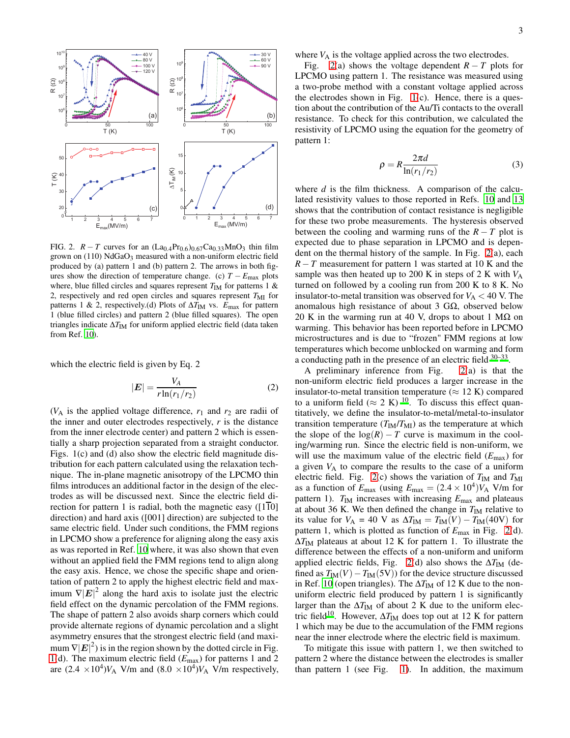

<span id="page-2-0"></span>FIG. 2.  $R - T$  curves for an  $(La_{0.4}Pr_{0.6})_{0.67}Ca_{0.33}MnO_3$  thin film grown on  $(110)$  NdGaO<sub>3</sub> measured with a non-uniform electric field produced by (a) pattern 1 and (b) pattern 2. The arrows in both figures show the direction of temperature change. (c)  $T - E_{\text{max}}$  plots where, blue filled circles and squares represent  $T_{IM}$  for patterns 1 & 2, respectively and red open circles and squares represent  $T_{\text{MI}}$  for patterns 1 & 2, respectively.(d) Plots of ΔT<sub>IM</sub> vs. *E*<sub>max</sub> for pattern 1 (blue filled circles) and pattern 2 (blue filled squares). The open triangles indicate ΔT<sub>IM</sub> for uniform applied electric field (data taken from Ref. [10\)](#page-5-6).

which the electric field is given by Eq. 2

$$
|\mathbf{E}| = \frac{V_A}{r \ln(r_1/r_2)}\tag{2}
$$

 $(V_A$  is the applied voltage difference,  $r_1$  and  $r_2$  are radii of the inner and outer electrodes respectively, *r* is the distance from the inner electrode center) and pattern 2 which is essentially a sharp projection separated from a straight conductor. Figs. 1(c) and (d) also show the electric field magnitude distribution for each pattern calculated using the relaxation technique. The in-plane magnetic anisotropy of the LPCMO thin films introduces an additional factor in the design of the electrodes as will be discussed next. Since the electric field direction for pattern 1 is radial, both the magnetic easy ( $[1\overline{1}0]$ direction) and hard axis ([001] direction) are subjected to the same electric field. Under such conditions, the FMM regions in LPCMO show a preference for aligning along the easy axis as was reported in Ref. [10](#page-5-6) where, it was also shown that even without an applied field the FMM regions tend to align along the easy axis. Hence, we chose the specific shape and orientation of pattern 2 to apply the highest electric field and maximum  $\nabla |\mathbf{E}|^2$  along the hard axis to isolate just the electric field effect on the dynamic percolation of the FMM regions. The shape of pattern 2 also avoids sharp corners which could provide alternate regions of dynamic percolation and a slight asymmetry ensures that the strongest electric field (and maximum  $\nabla |\mathbf{E}|^2$ ) is in the region shown by the dotted circle in Fig. [1\(](#page-1-0)d). The maximum electric field (*E*max) for patterns 1 and 2 are  $(2.4 \times 10^4) V_A$  V/m and  $(8.0 \times 10^4) V_A$  V/m respectively,

where  $V_A$  is the voltage applied across the two electrodes.

Fig. [2\(](#page-2-0)a) shows the voltage dependent  $R - T$  plots for LPCMO using pattern 1. The resistance was measured using a two-probe method with a constant voltage applied across the electrodes shown in Fig.  $1(c)$ . Hence, there is a question about the contribution of the Au/Ti contacts to the overall resistance. To check for this contribution, we calculated the resistivity of LPCMO using the equation for the geometry of pattern 1:

$$
\rho = R \frac{2\pi d}{\ln(r_1/r_2)}\tag{3}
$$

where *d* is the film thickness. A comparison of the calculated resistivity values to those reported in Refs. [10](#page-5-6) and [13](#page-5-7) shows that the contribution of contact resistance is negligible for these two probe measurements. The hysteresis observed between the cooling and warming runs of the  $R - T$  plot is expected due to phase separation in LPCMO and is dependent on the thermal history of the sample. In Fig. [2\(](#page-2-0)a), each *R* − *T* measurement for pattern 1 was started at 10 K and the sample was then heated up to 200 K in steps of 2 K with  $V_A$ turned on followed by a cooling run from 200 K to 8 K. No insulator-to-metal transition was observed for  $V_A < 40$  V. The anomalous high resistance of about 3 GΩ, observed below 20 K in the warming run at 40 V, drops to about 1 M $\Omega$  on warming. This behavior has been reported before in LPCMO microstructures and is due to "frozen" FMM regions at low temperatures which become unblocked on warming and form a conducting path in the presence of an electric field  $30-33$  $30-33$ .

A preliminary inference from Fig. [2\(](#page-2-0)a) is that the non-uniform electric field produces a larger increase in the insulator-to-metal transition temperature ( $\approx$  12 K) compared to a uniform field ( $\approx 2$  K) <sup>[10](#page-5-6)</sup>. To discuss this effect quantitatively, we define the insulator-to-metal/metal-to-insulator transition temperature  $(T_{IM}/T_{MI})$  as the temperature at which the slope of the  $log(R) - T$  curve is maximum in the cooling/warming run. Since the electric field is non-uniform, we will use the maximum value of the electric field (*E*max) for a given  $V_A$  to compare the results to the case of a uniform electric field. Fig.  $2(c)$  shows the variation of  $T_{IM}$  and  $T_{MI}$ as a function of  $E_{\text{max}}$  (using  $E_{\text{max}} = (2.4 \times 10^4) V_A$  V/m for pattern 1).  $T_{IM}$  increases with increasing  $E_{max}$  and plateaus at about 36 K. We then defined the change in  $T_{IM}$  relative to its value for  $V_A = 40$  V as  $\Delta T_{IM} = T_{IM}(V) - T_{IM}(40V)$  for pattern 1, which is plotted as function of *E*max in Fig. [2\(](#page-2-0)d).  $\Delta T_{\text{IM}}$  plateaus at about 12 K for pattern 1. To illustrate the difference between the effects of a non-uniform and uniform applied electric fields, Fig. [2\(](#page-2-0)d) also shows the  $\Delta T_{IM}$  (defined as  $T_{IM}(V) - T_{IM}(5V)$  for the device structure discussed in Ref. [10](#page-5-6) (open triangles). The ΔT<sub>IM</sub> of 12 K due to the nonuniform electric field produced by pattern 1 is significantly larger than the  $\Delta T_{\text{IM}}$  of about 2 K due to the uniform elec-tric field<sup>[10](#page-5-6)</sup>. However,  $\Delta T_{IM}$  does top out at 12 K for pattern 1 which may be due to the accumulation of the FMM regions near the inner electrode where the electric field is maximum.

To mitigate this issue with pattern 1, we then switched to pattern 2 where the distance between the electrodes is smaller than pattern 1 (see Fig. [1\)](#page-1-0). In addition, the maximum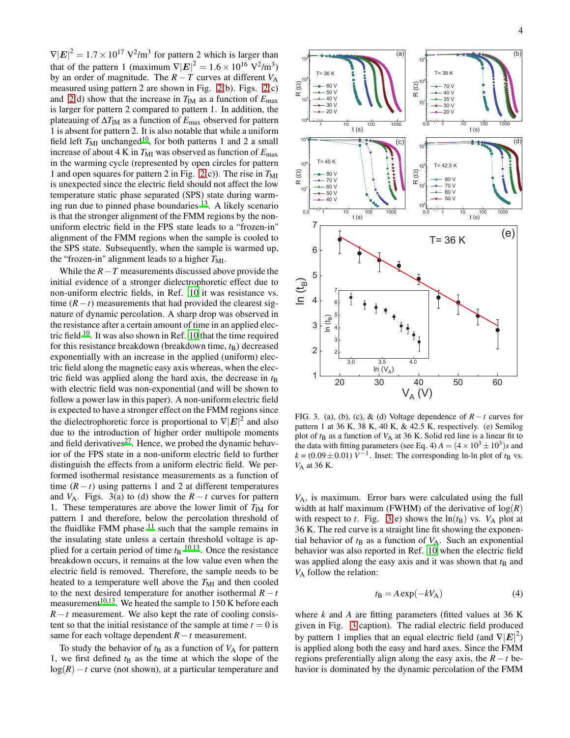$\nabla |E|^2 = 1.7 \times 10^{17} \text{ V}^2/\text{m}^3$  for pattern 2 which is larger than that of the pattern 1 (maximum  $\nabla |\mathbf{E}|^2 = 1.6 \times 10^{16} \text{ V}^2/\text{m}^3$ ) by an order of magnitude. The  $R - T$  curves at different  $V_A$ measured using pattern 2 are shown in Fig. [2\(](#page-2-0)b). Figs. [2\(](#page-2-0)c) and [2\(](#page-2-0)d) show that the increase in  $T_{IM}$  as a function of  $E_{max}$ is larger for pattern 2 compared to pattern 1. In addition, the plateauing of ∆*T*IM as a function of *E*max observed for pattern 1 is absent for pattern 2. It is also notable that while a uniform field left  $T_{\text{MI}}$  unchanged<sup>[10](#page-5-6)</sup>, for both patterns 1 and 2 a small increase of about 4 K in  $T_{\text{MI}}$  was observed as function of  $E_{\text{max}}$ in the warming cycle (represented by open circles for pattern 1 and open squares for pattern 2 in Fig.  $2(c)$ ). The rise in  $T<sub>MI</sub>$ is unexpected since the electric field should not affect the low temperature static phase separated (SPS) state during warming run due to pinned phase boundaries [13](#page-5-7). A likely scenario is that the stronger alignment of the FMM regions by the nonuniform electric field in the FPS state leads to a "frozen-in" alignment of the FMM regions when the sample is cooled to the SPS state. Subsequently, when the sample is warmed up, the "frozen-in" alignment leads to a higher  $T_{\text{MI}}$ .

While the *R*−*T* measurements discussed above provide the initial evidence of a stronger dielectrophoretic effect due to non-uniform electric fields, in Ref. [10](#page-5-6) it was resistance vs. time  $(R - t)$  measurements that had provided the clearest signature of dynamic percolation. A sharp drop was observed in the resistance after a certain amount of time in an applied electric field  $10$ . It was also shown in Ref. [10](#page-5-6) that the time required for this resistance breakdown (breakdown time,  $t_{\rm B}$ ) decreased exponentially with an increase in the applied (uniform) electric field along the magnetic easy axis whereas, when the electric field was applied along the hard axis, the decrease in  $t<sub>B</sub>$ with electric field was non-exponential (and will be shown to follow a power law in this paper). A non-uniform electric field is expected to have a stronger effect on the FMM regions since the dielectrophoretic force is proportional to  $\nabla |\mathbf{E}|^2$  and also due to the introduction of higher order multipole moments and field derivatives<sup>[27](#page-5-22)</sup>. Hence, we probed the dynamic behavior of the FPS state in a non-uniform electric field to further distinguish the effects from a uniform electric field. We performed isothermal resistance measurements as a function of time  $(R - t)$  using patterns 1 and 2 at different temperatures and  $V_A$ . Figs. 3(a) to (d) show the  $R - t$  curves for pattern 1. These temperatures are above the lower limit of  $T_{IM}$  for pattern 1 and therefore, below the percolation threshold of the fluidlike FMM phase  $11$  such that the sample remains in the insulating state unless a certain threshold voltage is applied for a certain period of time  $t_B$  <sup>[10](#page-5-6)[,13](#page-5-7)</sup>. Once the resistance breakdown occurs, it remains at the low value even when the electric field is removed. Therefore, the sample needs to be heated to a temperature well above the  $T_{\text{MI}}$  and then cooled to the next desired temperature for another isothermal  $R - t$ measurement<sup>[10](#page-5-6)[,13](#page-5-7)</sup>. We heated the sample to 150 K before each *R* − *t* measurement. We also kept the rate of cooling consistent so that the initial resistance of the sample at time  $t = 0$  is same for each voltage dependent *R*−*t* measurement.

To study the behavior of  $t_B$  as a function of  $V_A$  for pattern 1, we first defined  $t<sub>B</sub>$  as the time at which the slope of the log(*R*)−*t* curve (not shown), at a particular temperature and



<span id="page-3-0"></span>FIG. 3. (a), (b), (c), & (d) Voltage dependence of  $R - t$  curves for pattern 1 at 36 K, 38 K, 40 K, & 42.5 K, respectively. (e) Semilog plot of  $t_B$  as a function of  $V_A$  at 36 K. Solid red line is a linear fit to the data with fitting parameters (see Eq. 4)  $A = (4 \times 10^3 \pm 10^3)s$  and  $k = (0.09 \pm 0.01) V^{-1}$ . Inset: The corresponding ln-ln plot of *t*<sub>B</sub> vs. *V*<sup>A</sup> at 36 K.

*V*A, is maximum. Error bars were calculated using the full width at half maximum (FWHM) of the derivative of  $log(R)$ with respect to *t*. Fig. [3\(](#page-3-0)e) shows the  $ln(t)$  vs.  $V_A$  plot at 36 K. The red curve is a straight line fit showing the exponential behavior of  $t_B$  as a function of  $V_A$ . Such an exponential behavior was also reported in Ref. [10](#page-5-6) when the electric field was applied along the easy axis and it was shown that  $t<sub>B</sub>$  and *V*<sup>A</sup> follow the relation:

$$
t_{\rm B} = A \exp(-kV_{\rm A}) \tag{4}
$$

where *k* and *A* are fitting parameters (fitted values at 36 K given in Fig. [3](#page-3-0) caption). The radial electric field produced by pattern 1 implies that an equal electric field (and  $\nabla |\mathbf{E}|^2$ ) is applied along both the easy and hard axes. Since the FMM regions preferentially align along the easy axis, the *R* −*t* behavior is dominated by the dynamic percolation of the FMM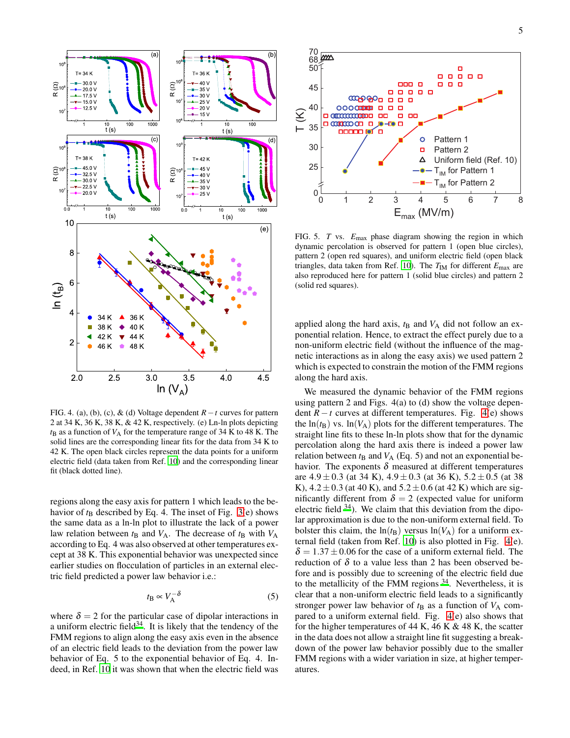

<span id="page-4-0"></span>FIG. 4. (a), (b), (c), & (d) Voltage dependent *R*−*t* curves for pattern 2 at 34 K, 36 K, 38 K, & 42 K, respectively. (e) Ln-ln plots depicting  $t_B$  as a function of  $V_A$  for the temperature range of 34 K to 48 K. The solid lines are the corresponding linear fits for the data from 34 K to 42 K. The open black circles represent the data points for a uniform electric field (data taken from Ref. [10\)](#page-5-6) and the corresponding linear fit (black dotted line).

regions along the easy axis for pattern 1 which leads to the behavior of  $t_B$  described by Eq. 4. The inset of Fig. [3\(](#page-3-0)e) shows the same data as a ln-ln plot to illustrate the lack of a power law relation between  $t_B$  and  $V_A$ . The decrease of  $t_B$  with  $V_A$ according to Eq. 4 was also observed at other temperatures except at 38 K. This exponential behavior was unexpected since earlier studies on flocculation of particles in an external electric field predicted a power law behavior i.e.:

$$
t_{\rm B} \propto V_{\rm A}^{-\delta} \tag{5}
$$

where  $\delta = 2$  for the particular case of dipolar interactions in a uniform electric field $^{34}$  $^{34}$  $^{34}$ . It is likely that the tendency of the FMM regions to align along the easy axis even in the absence of an electric field leads to the deviation from the power law behavior of Eq. 5 to the exponential behavior of Eq. 4. Indeed, in Ref. [10](#page-5-6) it was shown that when the electric field was



<span id="page-4-1"></span>FIG. 5. *T* vs.  $E_{\text{max}}$  phase diagram showing the region in which dynamic percolation is observed for pattern 1 (open blue circles), pattern 2 (open red squares), and uniform electric field (open black triangles, data taken from Ref. [10](#page-5-6)). The  $T_{IM}$  for different  $E_{max}$  are also reproduced here for pattern 1 (solid blue circles) and pattern 2 (solid red squares).

applied along the hard axis,  $t_B$  and  $V_A$  did not follow an exponential relation. Hence, to extract the effect purely due to a non-uniform electric field (without the influence of the magnetic interactions as in along the easy axis) we used pattern 2 which is expected to constrain the motion of the FMM regions along the hard axis.

We measured the dynamic behavior of the FMM regions using pattern 2 and Figs. 4(a) to (d) show the voltage dependent  $R - t$  curves at different temperatures. Fig. [4\(](#page-4-0)e) shows the  $ln(t<sub>B</sub>)$  vs.  $ln(V<sub>A</sub>)$  plots for the different temperatures. The straight line fits to these ln-ln plots show that for the dynamic percolation along the hard axis there is indeed a power law relation between  $t_B$  and  $V_A$  (Eq. 5) and not an exponential behavior. The exponents  $\delta$  measured at different temperatures are  $4.9 \pm 0.3$  (at 34 K),  $4.9 \pm 0.3$  (at 36 K),  $5.2 \pm 0.5$  (at 38 K),  $4.2 \pm 0.3$  (at 40 K), and  $5.2 \pm 0.6$  (at 42 K) which are significantly different from  $\delta = 2$  (expected value for uniform electric field  $34$ ). We claim that this deviation from the dipolar approximation is due to the non-uniform external field. To bolster this claim, the  $ln(t<sub>B</sub>)$  versus  $ln(V<sub>A</sub>)$  for a uniform external field (taken from Ref. [10\)](#page-5-6) is also plotted in Fig. [4\(](#page-4-0)e).  $\delta = 1.37 \pm 0.06$  for the case of a uniform external field. The reduction of  $\delta$  to a value less than 2 has been observed before and is possibly due to screening of the electric field due to the metallicity of the FMM regions  $34$ . Nevertheless, it is clear that a non-uniform electric field leads to a significantly stronger power law behavior of  $t<sub>B</sub>$  as a function of  $V<sub>A</sub>$  compared to a uniform external field. Fig. [4\(](#page-4-0)e) also shows that for the higher temperatures of 44 K, 46 K  $\&$  48 K, the scatter in the data does not allow a straight line fit suggesting a breakdown of the power law behavior possibly due to the smaller FMM regions with a wider variation in size, at higher temperatures.